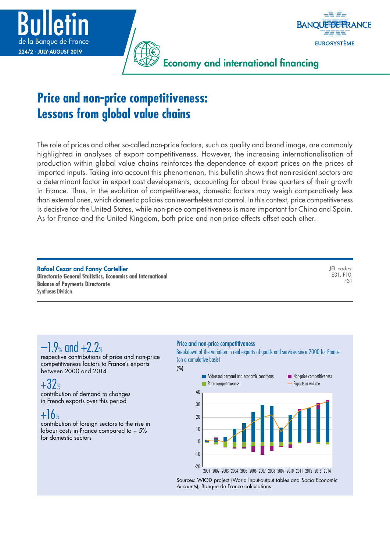



Economy and international financing

# **Price and non-price competitiveness: Lessons from global value chains**

The role of prices and other so-called non-price factors, such as quality and brand image, are commonly highlighted in analyses of export competitiveness. However, the increasing internationalisation of production within global value chains reinforces the dependence of export prices on the prices of imported inputs. Taking into account this phenomenon, this bulletin shows that non-resident sectors are a determinant factor in export cost developments, accounting for about three quarters of their growth in France. Thus, in the evolution of competitiveness, domestic factors may weigh comparatively less than external ones, which domestic policies can nevertheless not control. In this context, price competitiveness is decisive for the United States, while non-price competitiveness is more important for China and Spain. As for France and the United Kingdom, both price and non-price effects offset each other.

Rafael Cezar and Fanny Cartellier **Directorate General Statistics, Economics and International Balance of Payments Directorate** Syntheses Division

JEL codes: E31, F10, F31

# $-1.9$  and  $+2.2$

respective contributions of price and non-price competitiveness factors to France's exports between 2000 and 2014

### $+32<sub>°</sub>$ contribution of demand to changes in French exports over this period

# $+16%$

contribution of foreign sectors to the rise in labour costs in France compared to + 5% for domestic sectors

### Price and non-price competitiveness

(%)

Breakdown of the variation in real exports of goods and services since 2000 for France (on a cumulative basis)



Sources: WIOD project (World input-output tables and *Socio Economic Accounts*), Banque de France calculations.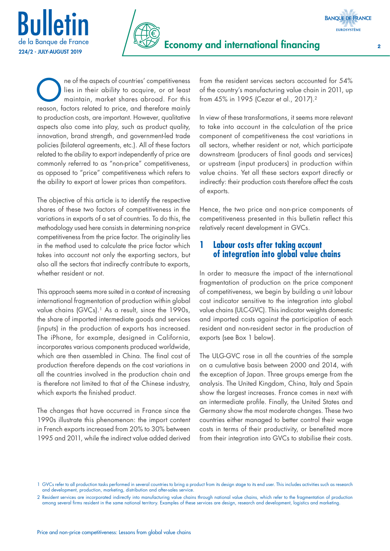



One of the aspects of countries' competitiveness<br>lies in their ability to acquire, or at least<br>maintain, market shares abroad. For this lies in their ability to acquire, or at least maintain, market shares abroad. For this reason, factors related to price, and therefore mainly to production costs, are important. However, qualitative aspects also come into play, such as product quality, innovation, brand strength, and government-led trade policies (bilateral agreements, etc.). All of these factors related to the ability to export independently of price are commonly referred to as "non-price" competitiveness, as opposed to "price" competitiveness which refers to the ability to export at lower prices than competitors.

The objective of this article is to identify the respective shares of these two factors of competitiveness in the variations in exports of a set of countries. To do this, the methodology used here consists in determining non-price competitiveness from the price factor. The originality lies in the method used to calculate the price factor which takes into account not only the exporting sectors, but also all the sectors that indirectly contribute to exports, whether resident or not.

This approach seems more suited in a context of increasing international fragmentation of production within global value chains (GVCs).<sup>1</sup> As a result, since the 1990s, the share of imported intermediate goods and services (inputs) in the production of exports has increased. The iPhone, for example, designed in California, incorporates various components produced worldwide, which are then assembled in China. The final cost of production therefore depends on the cost variations in all the countries involved in the production chain and is therefore not limited to that of the Chinese industry, which exports the finished product.

The changes that have occurred in France since the 1990s illustrate this phenomenon: the import content in French exports increased from 20% to 30% between 1995 and 2011, while the indirect value added derived

from the resident services sectors accounted for 54% of the country's manufacturing value chain in 2011, up from 45% in 1995 (Cezar et al., 2017).2

In view of these transformations, it seems more relevant to take into account in the calculation of the price component of competitiveness the cost variations in all sectors, whether resident or not, which participate downstream (producers of final goods and services) or upstream (input producers) in production within value chains. Yet all these sectors export directly or indirectly: their production costs therefore affect the costs of exports.

Hence, the two price and non-price components of competitiveness presented in this bulletin reflect this relatively recent development in GVCs.

# **1 Labour costs after taking account of integration into global value chains**

In order to measure the impact of the international fragmentation of production on the price component of competitiveness, we begin by building a unit labour cost indicator sensitive to the integration into global value chains (ULC-GVC). This indicator weights domestic and imported costs against the participation of each resident and non-resident sector in the production of exports (see Box 1 below).

The ULG-GVC rose in all the countries of the sample on a cumulative basis between 2000 and 2014, with the exception of Japan. Three groups emerge from the analysis. The United Kingdom, China, Italy and Spain show the largest increases. France comes in next with an intermediate profile. Finally, the United States and Germany show the most moderate changes. These two countries either managed to better control their wage costs in terms of their productivity, or benefited more from their integration into GVCs to stabilise their costs.

<sup>1</sup> GVCs refer to all production tasks performed in several countries to bring a product from its design stage to its end user. This includes activities such as research and development, production, marketing, distribution and after-sales service.

<sup>2</sup> Resident services are incorporated indirectly into manufacturing value chains through national value chains, which refer to the fragmentation of production among several firms resident in the same national territory. Examples of these services are design, research and development, logistics and marketing.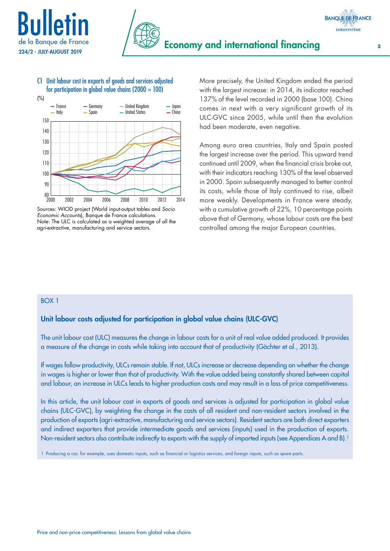



### C1 Unit labour cost in exports of goods and services adjusted for participation in global value chains  $(2000 = 100)$



Sources: WIOD project (World input-output tables and *Socio Economic Accounts*), Banque de France calculations. Note: The ULC is calculated as a weighted average of all the agri-extractive, manufacturing and service sectors.

More precisely, the United Kingdom ended the period with the largest increase: in 2014, its indicator reached 137% of the level recorded in 2000 (base 100). China comes in next with a very significant growth of its ULC-GVC since 2005, while until then the evolution had been moderate, even negative.

Among euro area countries, Italy and Spain posted the largest increase over the period. This upward trend continued until 2009, when the financial crisis broke out, with their indicators reaching 130% of the level observed in 2000. Spain subsequently managed to better control its costs, while those of Italy continued to rise, albeit more weakly. Developments in France were steady, with a cumulative growth of 22%, 10 percentage points above that of Germany, whose labour costs are the best controlled among the major European countries.

#### BOX 1

### Unit labour costs adjusted for participation in global value chains (ULC-GVC)

The unit labour cost (ULC) measures the change in labour costs for a unit of real value added produced. It provides a measure of the change in costs while taking into account that of productivity (Gächter et al., 2013).

If wages follow productivity, ULCs remain stable. If not, ULCs increase or decrease depending on whether the change in wages is higher or lower than that of productivity. With the value added being constantly shared between capital and labour, an increase in ULCs leads to higher production costs and may result in a loss of price competitiveness.

In this article, the unit labour cost in exports of goods and services is adjusted for participation in global value chains (ULC-GVC), by weighting the change in the costs of all resident and non-resident sectors involved in the production of exports (agri-extractive, manufacturing and service sectors). Resident sectors are both direct exporters and indirect exporters that provide intermediate goods and services (inputs) used in the production of exports. Non-resident sectors also contribute indirectly to exports with the supply of imported inputs (see Appendices A and B).<sup>1</sup>

1 Producing a car, for example, uses domestic inputs, such as financial or logistics services, and foreign inputs, such as spare parts.

**BANQUE DE FRANCE**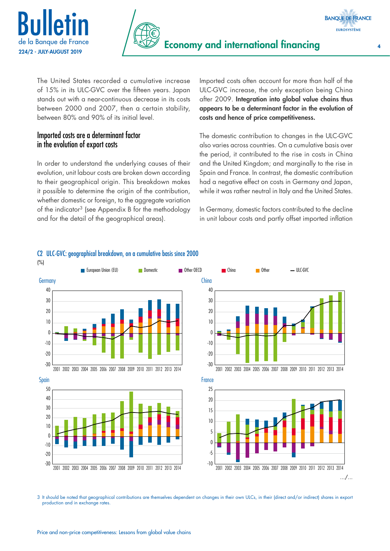



The United States recorded a cumulative increase of 15% in its ULC-GVC over the fifteen years. Japan stands out with a near-continuous decrease in its costs between 2000 and 2007, then a certain stability, between 80% and 90% of its initial level.

## Imported costs are a determinant factor in the evolution of export costs

In order to understand the underlying causes of their evolution, unit labour costs are broken down according to their geographical origin. This breakdown makes it possible to determine the origin of the contribution, whether domestic or foreign, to the aggregate variation of the indicator3 (see Appendix B for the methodology and for the detail of the geographical areas).

Imported costs often account for more than half of the ULC-GVC increase, the only exception being China after 2009. Integration into global value chains thus appears to be a determinant factor in the evolution of costs and hence of price competitiveness.

The domestic contribution to changes in the ULC-GVC also varies across countries. On a cumulative basis over the period, it contributed to the rise in costs in China and the United Kingdom; and marginally to the rise in Spain and France. In contrast, the domestic contribution had a negative effect on costs in Germany and Japan, while it was rather neutral in Italy and the United States.

In Germany, domestic factors contributed to the decline in unit labour costs and partly offset imported inflation



### C2 ULC-GVC: geographical breakdown, on a cumulative basis since 2000

3 It should be noted that geographical contributions are themselves dependent on changes in their own ULCs, in their (direct and/or indirect) shares in export production and in exchange rates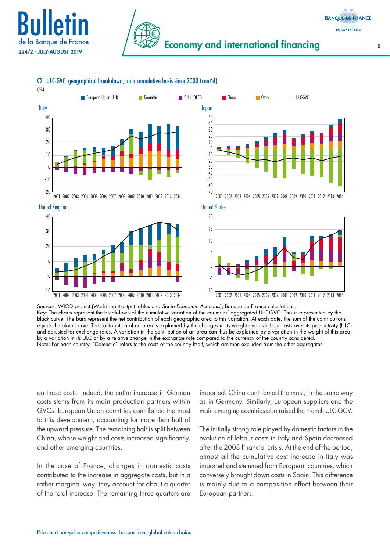

(%)



C2 ULC-GVC: geographical breakdown, on a cumulative basis since 2000 (cont'd)





<sup>2001</sup> 2002 2003 2004 2005 2006 2007 2008 2009 2010 2011 2012 2013 2014

United Kingdom United States







Sources: WIOD project (World input-output tables and *Socio Economic Accounts*), Banque de France calculations. Key: The charts represent the breakdown of the cumulative variation of the countries' aggregated ULC-GVC. This is represented by the black curve. The bars represent the net contribution of each geographic area to this variation. At each date, the sum of the contributions equals the black curve. The contribution of an area is explained by the changes in its weight and its labour costs over its productivity (ULC) and adjusted for exchange rates. A variation in the contribution of an area can thus be explained by a variation in the weight of this area, by a variation in its ULC or by a relative change in the exchange rate compared to the currency of the country considered. Note: For each country, "Domestic" refers to the costs of the country itself, which are then excluded from the other aggregates.

on these costs. Indeed, the entire increase in German costs stems from its main production partners within GVCs. European Union countries contributed the most to this development, accounting for more than half of the upward pressure. The remaining half is split between China, whose weight and costs increased significantly, and other emerging countries.

In the case of France, changes in domestic costs contributed to the increase in aggregate costs, but in a rather marginal way: they account for about a quarter of the total increase. The remaining three quarters are imported. China contributed the most, in the same way as in Germany. Similarly, European suppliers and the main emerging countries also raised the French ULC-GCV.

The initially strong role played by domestic factors in the evolution of labour costs in Italy and Spain decreased after the 2008 financial crisis. At the end of the period, almost all the cumulative cost increase in Italy was imported and stemmed from European countries, which conversely brought down costs in Spain. This difference is mainly due to a composition effect between their European partners.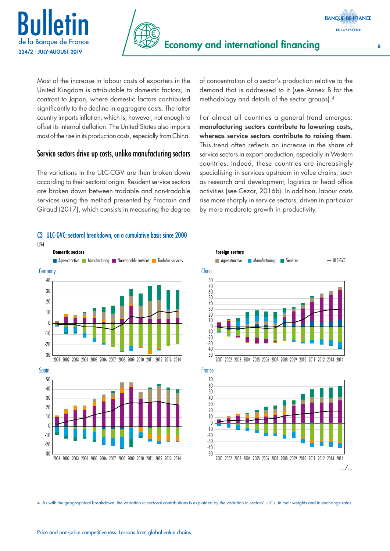



**BANQUE DE FRANCE EUROSYSTÈME** 

Most of the increase in labour costs of exporters in the United Kingdom is attributable to domestic factors; in contrast to Japan, where domestic factors contributed significantly to the decline in aggregate costs. The latter country imports inflation, which is, however, not enough to offset its internal deflation. The United States also imports most of the rise in its production costs, especially from China.

### Service sectors drive up costs, unlike manufacturing sectors

The variations in the ULC-CGV are then broken down according to their sectoral origin. Resident service sectors are broken down between tradable and non-tradable services using the method presented by Frocrain and Giraud (2017), which consists in measuring the degree

# C3 ULC-GVC: sectoral breakdown, on a cumulative basis since 2000



of concentration of a sector's production relative to the demand that is addressed to it (see Annex B for the methodology and details of the sector groups).4

For almost all countries a general trend emerges: manufacturing sectors contribute to lowering costs, whereas service sectors contribute to raising them. This trend often reflects an increase in the share of service sectors in export production, especially in Western countries. Indeed, these countries are increasingly specialising in services upstream in value chains, such as research and development, logistics or head office activities (see Cezar, 2016b). In addition, labour costs rise more sharply in service sectors, driven in particular by more moderate growth in productivity.





2001 2002 2003 2004 2005 2006 2007 2008 2009 2010 2011 2012 2013 2014

 $-30$ 

 $-20$ 

4 As with the geographical breakdown, the variation in sectoral contributions is explained by the variation in sectors' ULCs, in their weights and in exchange rates.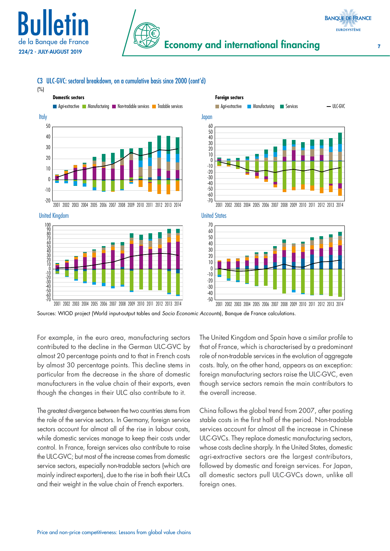



### C3 ULC-GVC: sectoral breakdown, on a cumulative basis since 2000 (cont'd)

(%)



United Kingdom United States







Sources: WIOD project (World input-output tables and *Socio Economic Accounts*), Banque de France calculations.

For example, in the euro area, manufacturing sectors contributed to the decline in the German ULC-GVC by almost 20 percentage points and to that in French costs by almost 30 percentage points. This decline stems in particular from the decrease in the share of domestic manufacturers in the value chain of their exports, even though the changes in their ULC also contribute to it.

The greatest divergence between the two countries stems from the role of the service sectors. In Germany, foreign service sectors account for almost all of the rise in labour costs, while domestic services manage to keep their costs under control. In France, foreign services also contribute to raise the ULC-GVC; but most of the increase comes from domestic service sectors, especially non-tradable sectors (which are mainly indirect exporters), due to the rise in both their ULCs and their weight in the value chain of French exporters.

The United Kingdom and Spain have a similar profile to that of France, which is characterised by a predominant role of non-tradable services in the evolution of aggregate costs. Italy, on the other hand, appears as an exception: foreign manufacturing sectors raise the ULC-GVC, even though service sectors remain the main contributors to the overall increase.

China follows the global trend from 2007, after posting stable costs in the first half of the period. Non-tradable services account for almost all the increase in Chinese ULC-GVCs. They replace domestic manufacturing sectors, whose costs decline sharply. In the United States, domestic agri-extractive sectors are the largest contributors, followed by domestic and foreign services. For Japan, all domestic sectors pull ULC-GVCs down, unlike all foreign ones.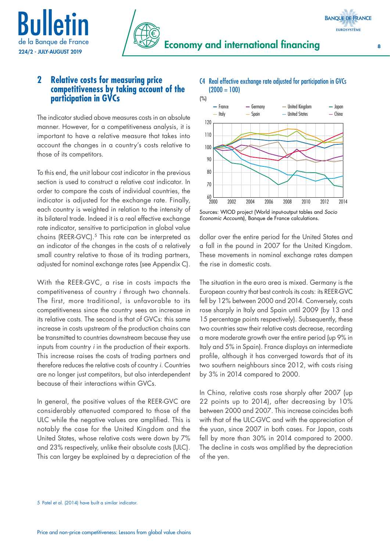



## **2 Relative costs for measuring price competitiveness by taking account of the participation in GVCs**

The indicator studied above measures costs in an absolute manner. However, for a competitiveness analysis, it is important to have a relative measure that takes into account the changes in a country's costs relative to those of its competitors.

To this end, the unit labour cost indicator in the previous section is used to construct a relative cost indicator. In order to compare the costs of individual countries, the indicator is adjusted for the exchange rate. Finally, each country is weighted in relation to the intensity of its bilateral trade. Indeed it is a real effective exchange rate indicator, sensitive to participation in global value chains (REER-GVC).<sup>5</sup> This rate can be interpreted as an indicator of the changes in the costs of a relatively small country relative to those of its trading partners, adjusted for nominal exchange rates (see Appendix C).

With the REER-GVC, a rise in costs impacts the competitiveness of country *i* through two channels. The first, more traditional, is unfavorable to its competitiveness since the country sees an increase in its relative costs. The second is that of GVCs: this same increase in costs upstream of the production chains can be transmitted to countries downstream because they use inputs from country *i* in the production of their exports. This increase raises the costs of trading partners and therefore reduces the relative costs of country *i*. Countries are no longer just competitors, but also interdependent because of their interactions within GVCs.

In general, the positive values of the REER-GVC are considerably attenuated compared to those of the ULC while the negative values are amplified. This is notably the case for the United Kingdom and the United States, whose relative costs were down by 7% and 23% respectively, unlike their absolute costs (ULC). This can largey be explained by a depreciation of the C4 Real effective exchange rate adjusted for participation in GVCs  $(2000 = 100)$ 



Sources: WIOD project (World input-output tables and *Socio Economic Accounts*), Banque de France calculations.

dollar over the entire period for the United States and a fall in the pound in 2007 for the United Kingdom. These movements in nominal exchange rates dampen the rise in domestic costs.

The situation in the euro area is mixed. Germany is the European country that best controls its costs: its REER-GVC fell by 12% between 2000 and 2014. Conversely, costs rose sharply in Italy and Spain until 2009 (by 13 and 15 percentage points respectively). Subsequently, these two countries saw their relative costs decrease, recording a more moderate growth over the entire period (up 9% in Italy and 5% in Spain). France displays an intermediate profile, although it has converged towards that of its two southern neighbours since 2012, with costs rising by 3% in 2014 compared to 2000.

In China, relative costs rose sharply after 2007 (up 22 points up to 2014), after decreasing by 10% between 2000 and 2007. This increase coincides both with that of the ULC-GVC and with the appreciation of the yuan, since 2007 in both cases. For Japan, costs fell by more than 30% in 2014 compared to 2000. The decline in costs was amplified by the depreciation of the yen.

#### 5 Patel et al. (2014) have built a similar indicator.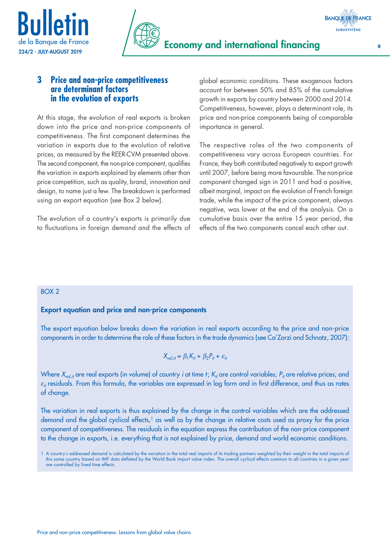



## **3 Price and non-price competitiveness are determinant factors in the evolution of exports**

At this stage, the evolution of real exports is broken down into the price and non-price components of competitiveness. The first component determines the variation in exports due to the evolution of relative prices, as measured by the REER-CVM presented above. The second component, the non-price component, qualifies the variation in exports explained by elements other than price competition, such as quality, brand, innovation and design, to name just a few. The breakdown is performed using an export equation (see Box 2 below).

The evolution of a country's exports is primarily due to fluctuations in foreign demand and the effects of global economic conditions. These exogenous factors account for between 50% and 85% of the cumulative growth in exports by country between 2000 and 2014. Competitiveness, however, plays a determinant role, its price and non-price components being of comparable importance in general.

The respective roles of the two components of competitiveness vary across European countries. For France, they both contributed negatively to export growth until 2007, before being more favourable. The non-price component changed sign in 2011 and had a positive, albeit marginal, impact on the evolution of French foreign trade, while the impact of the price component, always negative, was lower at the end of the analysis. On a cumulative basis over the entire 15 year period, the effects of the two components cancel each other out.

### BOX 2

### Export equation and price and non-price components

The export equation below breaks down the variation in real exports according to the price and non-price components in order to determine the role of these factors in the trade dynamics (see Ca'Zorzi and Schnatz, 2007):

$$
X_{\text{vol,}it} = \beta_1 K_{it} + \beta_2 P_{it} + \varepsilon_{it}
$$

Where  $X_{vol,ir}$  are real exports (in volume) of country *i* at time *t*;  $K_{ir}$  are control variables;  $P_{ir}$  are relative prices; and  $\varepsilon_i$  residuals. From this formula, the variables are expressed in log form and in first difference, and thus as rates of change.

The variation in real exports is thus explained by the change in the control variables which are the addressed demand and the global cyclical effects,<sup>1</sup> as well as by the change in relative costs used as proxy for the price component of competitiveness. The residuals in the equation express the contribution of the non-price component to the change in exports, i.e. everything that is not explained by price, demand and world economic conditions.

**BANQUE DE FRANCE EUROSYSTÈME** 

<sup>1</sup> A country's addressed demand is calculated by the variation in the total real imports of its trading partners weighted by their weight in the total imports of this same country based on IMF data deflated by the World Bank import value index. The overall cyclical effects common to all countries in a given year are controlled by fixed time effects.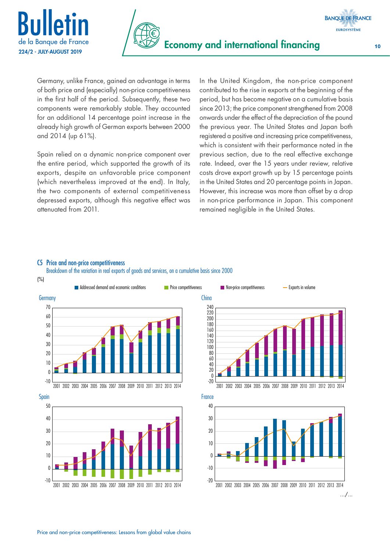



Germany, unlike France, gained an advantage in terms of both price and (especially) non-price competitiveness in the first half of the period. Subsequently, these two components were remarkably stable. They accounted for an additional 14 percentage point increase in the already high growth of German exports between 2000 and 2014 (up 61%).

Spain relied on a dynamic non-price component over the entire period, which supported the growth of its exports, despite an unfavorable price component (which nevertheless improved at the end). In Italy, the two components of external competitiveness depressed exports, although this negative effect was attenuated from 2011.

In the United Kingdom, the non-price component contributed to the rise in exports at the beginning of the period, but has become negative on a cumulative basis since 2013; the price component strengthened from 2008 onwards under the effect of the depreciation of the pound the previous year. The United States and Japan both registered a positive and increasing price competitiveness, which is consistent with their performance noted in the previous section, due to the real effective exchange rate. Indeed, over the 15 years under review, relative costs drove export growth up by 15 percentage points in the United States and 20 percentage points in Japan. However, this increase was more than offset by a drop in non-price performance in Japan. This component remained negligible in the United States.

#### C5 Price and non-price competitiveness

Breakdown of the variation in real exports of goods and services, on a cumulative basis since 2000



**BANQUE DE FRANCE EUROSYSTÈME**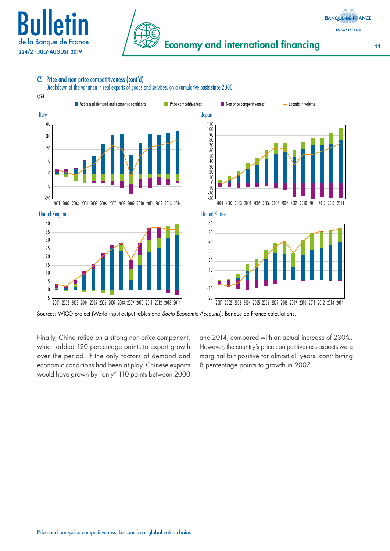



### C5 Price and non-price competitiveness (cont'd)

Breakdown of the variation in real exports of goods and services, on a cumulative basis since 2000



Sources: WIOD project (World input-output tables and *Socio Economic Accounts*), Banque de France calculations.

Finally, China relied on a strong non-price component, which added 120 percentage points to export growth over the period. If the only factors of demand and economic conditions had been at play, Chinese exports would have grown by "only" 110 points between 2000 and 2014, compared with an actual increase of 230%. However, the country's price competitiveness aspects were marginal but positive for almost all years, contributing 8 percentage points to growth in 2007.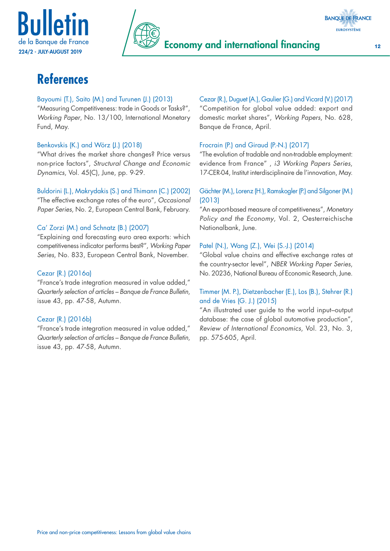





# **References**

### Bayoumi (T.), Saito (M.) and Turunen (J.) (2013)

"Measuring Competitiveness: trade in Goods or Tasks?", *Working Paper*, No. 13/100, International Monetary Fund, May.

### Benkovskis (K.) and Wörz (J.) (2018)

"What drives the market share changes? Price versus non-price factors", *Structural Change and Economic Dynamics*, Vol. 45(C), June, pp. 9-29.

## Buldorini (L.), Makrydakis (S.) and Thimann (C.) (2002)

"The effective exchange rates of the euro", *Occasional Paper Series*, No. 2, European Central Bank, February.

### Ca' Zorzi (M.) and Schnatz (B.) (2007)

"Explaining and forecasting euro area exports: which competitiveness indicator performs best?", *Working Paper Series*, No. 833, European Central Bank, November.

### Cezar (R.) (2016a)

"France's trade integration measured in value added," *Quarterly selection of articles – Banque de France Bulletin*, issue 43, pp. 47-58, Autumn.

### Cezar (R.) (2016b)

"France's trade integration measured in value added," *Quarterly selection of articles – Banque de France Bulletin*, issue 43, pp. 47-58, Autumn.

# Cezar (R.), Duguet (A.), Gaulier (G.) and Vicard (V.) (2017)

"Competition for global value added: export and domestic market shares", *Working Papers*, No. 628, Banque de France, April.

### Frocrain (P.) and Giraud (P.-N.) (2017)

"The evolution of tradable and non-tradable employment: evidence from France" , *i3 Working Papers Series*, 17-CER-04, Institut interdisciplinaire de l'innovation, May.

### Gächter (M.), Lorenz (H.), Ramskogler (P.) and Silgoner (M.) (2013)

"An export-based measure of competitiveness", *Monetary Policy and the Economy*, Vol. 2, Oesterreichische Nationalbank, June.

### Patel (N.), Wang (Z.), Wei (S.-J.) (2014)

"Global value chains and effective exchange rates at the country-sector level", *NBER Working Paper Series*, No. 20236, National Bureau of Economic Research, June.

### Timmer (M. P.), Dietzenbacher (E.), Los (B.), Stehrer (R.) and de Vries (G. J.) (2015)

"An illustrated user guide to the world input–output database: the case of global automotive production", *Review of International Economics*, Vol. 23, No. 3, pp. 575-605, April.

Price and non-price competitiveness: Lessons from global value chains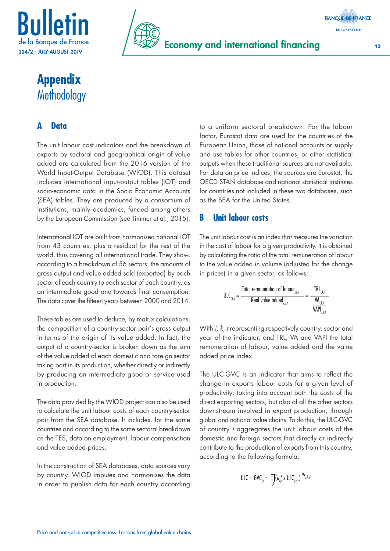



**Appendix Methodology** 

# **A Data**

The unit labour cost indicators and the breakdown of exports by sectoral and geographical origin of value added are calculated from the 2016 version of the World Input-Output Database (WIOD). This dataset includes international input-output tables (IOT) and socio-economic data in the Socio Economic Accounts (SEA) tables. They are produced by a consortium of institutions, mainly academics, funded among others by the European Commission (see Timmer et al., 2015).

International IOT are built from harmonised national IOT from 43 countries, plus a residual for the rest of the world, thus covering all international trade. They show, according to a breakdown of 56 sectors, the amounts of gross output and value added sold (exported) by each sector of each country to each sector of each country, as an intermediate good and towards final consumption. The data cover the fifteen years between 2000 and 2014.

These tables are used to deduce, by matrix calculations, the composition of a country-sector pair's gross output in terms of the origin of its value added. In fact, the output of a country-sector is broken down as the sum of the value added of each domestic and foreign sector taking part in its production, whether directly or indirectly by producing an intermediate good or service used in production.

The data provided by the WIOD project can also be used to calculate the unit labour costs of each country-sector pair from the SEA database. It includes, for the same countries and according to the same sectoral breakdown as the TES, data on employment, labour compensation and value added prices.

In the construction of SEA databases, data sources vary by country. WIOD imputes and harmonises the data in order to publish data for each country according to a uniform sectoral breakdown. For the labour factor, Eurostat data are used for the countries of the European Union, those of national accounts or supply and use tables for other countries, or other statistical outputs when these traditional sources are not available. For data on price indices, the sources are Eurostat, the OECD STAN database and national statistical institutes for countries not included in these two databases, such as the BEA for the United States.

## **B Unit labour costs**

The unit labour cost is an index that measures the variation in the cost of labour for a given productivity. It is obtained by calculating the ratio of the total remuneration of labour to the value added in volume (adjusted for the change in prices) in a given sector, as follows:

$$
\text{ULC}_{i,k,t} = \frac{\text{Total remuneration of labour}_{i,k,t}}{\text{Real value added}_{i,k,t}} = \frac{\text{TRI}_{i,k,t}}{\frac{\text{VA}_{i,k,t}}{\text{VAPI}_{i,k,t}}}
$$

With *i, k, t* representing respectively country, sector and year of the indicator, and TRL, VA and VAPI the total remuneration of labour, value added and the value added price index.

The ULC-GVC is an indicator that aims to reflect the change in exports labour costs for a given level of productivity; taking into account both the costs of the direct exporting sectors, but also of all the other sectors downstream involved in export production, through global and national value chains. To do this, the ULC-GVC of country *i* aggregates the unit labour costs of the domestic and foreign sectors that directly or indirectly contribute to the production of exports from this country, according to the following formula:

$$
\text{ULC} - \text{GVC}_{i,t} = \prod_{i,k} (e_{ii,t}^{\star} \times \text{ULC}_{i,k,t})^{W_{i,k,i,t}}
$$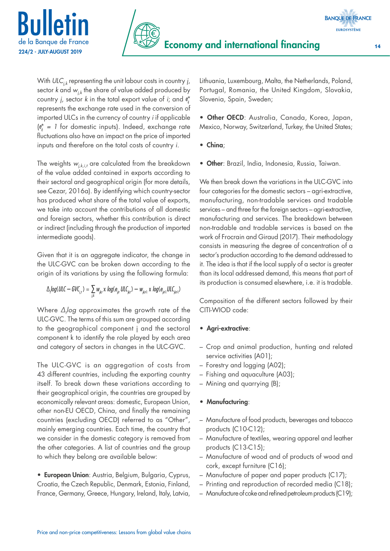



With *ULCj,k* representing the unit labour costs in country *j*, sector *k* and *wj,k* the share of value added produced by country *j*, sector *k* in the total export value of *i*; and *e*\* *ij* represents the exchange rate used in the conversion of imported ULCs in the currency of country *i* if applicable (*e*\* *ij = 1* for domestic inputs). Indeed, exchange rate fluctuations also have an impact on the price of imported inputs and therefore on the total costs of country *i*.

The weights  $w_{i,k,i,t}$  are calculated from the breakdown of the value added contained in exports according to their sectoral and geographical origin (for more details, see Cezar, 2016a). By identifying which country-sector has produced what share of the total value of exports, we take into account the contributions of all domestic and foreign sectors, whether this contribution is direct or indirect (including through the production of imported intermediate goods).

Given that it is an aggregate indicator, the change in the ULC-GVC can be broken down according to the origin of its variations by using the following formula:

$$
\Delta \log (ULC - GVC_{i,t}) = \sum_{jk} w_{jkt} \times log(e_{jjt} ULC_{jkt}) - w_{jkt} \times log(e_{jjt} ULC_{jkt})
$$

Where *∆t log* approximates the growth rate of the ULC-GVC. The terms of this sum are grouped according to the geographical component j and the sectoral component k to identify the role played by each area and category of sectors in changes in the ULC-GVC.

The ULC-GVC is an aggregation of costs from 43 different countries, including the exporting country itself. To break down these variations according to their geographical origin, the countries are grouped by economically relevant areas: domestic, European Union, other non-EU OECD, China, and finally the remaining countries (excluding OECD) referred to as "Other", mainly emerging countries. Each time, the country that we consider in the domestic category is removed from the other categories. A list of countries and the group to which they belong are available below:

• European Union: Austria, Belgium, Bulgaria, Cyprus, Croatia, the Czech Republic, Denmark, Estonia, Finland, France, Germany, Greece, Hungary, Ireland, Italy, Latvia, Lithuania, Luxembourg, Malta, the Netherlands, Poland, Portugal, Romania, the United Kingdom, Slovakia, Slovenia, Spain, Sweden;

• Other OECD: Australia, Canada, Korea, Japan, Mexico, Norway, Switzerland, Turkey, the United States;

• China;

• Other: Brazil, India, Indonesia, Russia, Taiwan.

We then break down the variations in the ULC-GVC into four categories for the domestic sectors – agri-extractive, manufacturing, non-tradable services and tradable services – and three for the foreign sectors – agri-extractive, manufacturing and services. The breakdown between non-tradable and tradable services is based on the work of Frocrain and Giraud (2017). Their methodology consists in measuring the degree of concentration of a sector's production according to the demand addressed to it. The idea is that if the local supply of a sector is greater than its local addressed demand, this means that part of its production is consumed elsewhere, i.e. it is tradable.

Composition of the different sectors followed by their CITI-WIOD code:

### • Agri-extractive:

- Crop and animal production, hunting and related service activities (A01);
- Forestry and logging (A02);
- Fishing and aquaculture (A03);
- Mining and quarrying (B);

### • Manufacturing:

- Manufacture of food products, beverages and tobacco products (C10-C12);
- Manufacture of textiles, wearing apparel and leather products (C13-C15);
- Manufacture of wood and of products of wood and cork, except furniture (C16);
- Manufacture of paper and paper products (C17);
- Printing and reproduction of recorded media (C18);
- Manufacture of coke and refined petroleum products (C19);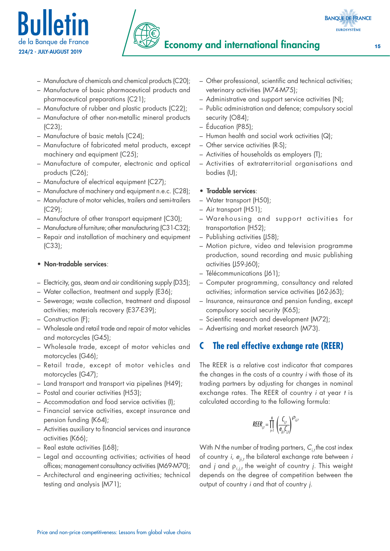



- Manufacture of chemicals and chemical products (C20);
- Manufacture of basic pharmaceutical products and pharmaceutical preparations (C21);
- Manufacture of rubber and plastic products (C22);
- Manufacture of other non-metallic mineral products (C23);
- Manufacture of basic metals (C24);
- Manufacture of fabricated metal products, except machinery and equipment (C25);
- Manufacture of computer, electronic and optical products (C26);
- Manufacture of electrical equipment (C27);
- Manufacture of machinery and equipment n.e.c. (C28);
- Manufacture of motor vehicles, trailers and semi-trailers (C29);
- Manufacture of other transport equipment (C30);
- Manufacture of furniture; other manufacturing (C31-C32);
- Repair and installation of machinery and equipment (C33);
- Non-tradable services:
- Electricity, gas, steam and air conditioning supply (D35);
- Water collection, treatment and supply (E36);
- Sewerage; waste collection, treatment and disposal activities; materials recovery (E37-E39);
- Construction (F);
- Wholesale and retail trade and repair of motor vehicles and motorcycles (G45);
- Wholesale trade, except of motor vehicles and motorcycles (G46);
- Retail trade, except of motor vehicles and motorcycles (G47);
- Land transport and transport via pipelines (H49);
- Postal and courier activities (H53);
- Accommodation and food service activities (I);
- Financial service activities, except insurance and pension funding (K64);
- Activities auxiliary to financial services and insurance activities (K66);
- Real estate activities (L68);
- Legal and accounting activities; activities of head offices; management consultancy activities (M69-M70);
- Architectural and engineering activities; technical testing and analysis (M71);
- Other professional, scientific and technical activities; veterinary activities (M74-M75);
- Administrative and support service activities (N);
- Public administration and defence; compulsory social security (O84);
- Éducation (P85);
- Human health and social work activities (Q);
- Other service activities (R-S);
- Activities of households as employers (T);
- Activities of extraterritorial organisations and bodies (U);
- Tradable services:
- Water transport (H50);
- Air transport (H51);
- Warehousing and support activities for transportation (H52);
- Publishing activities (J58);
- Motion picture, video and television programme production, sound recording and music publishing activities (J59-J60);
- Télécommunications (J61);
- Computer programming, consultancy and related activities; information service activities (J62-J63);
- Insurance, reinsurance and pension funding, except compulsory social security (K65);
- Scientific research and development (M72);
- Advertising and market research (M73).

## **C The real effective exchange rate (REER)**

The REER is a relative cost indicator that compares the changes in the costs of a country *i* with those of its trading partners by adjusting for changes in nominal exchange rates. The REER of country *i* at year *t* is calculated according to the following formula:

$$
REER_{i,t} = \prod_{i=1}^{N} \left( \frac{C_{i,t}}{\theta_{ii,t} C_{i,t}} \right)^{D_{i,j,t}}
$$

With *N* the number of trading partners,  $C_{i,t}$  the cost index of country *i*, *eji,t* the bilateral exchange rate between *i* and *j* and ρ*i,j,t* the weight of country *j.* This weight depends on the degree of competition between the output of country *i* and that of country *j*.

**BANQUE DE FRANCE EUROSYSTÈME**